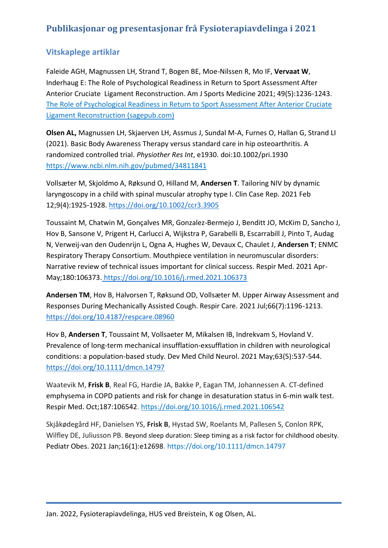# **Publikasjonar og presentasjonar frå Fysioterapiavdelinga i 2021**

## **Vitskaplege artiklar**

Faleide AGH, Magnussen LH, Strand T, Bogen BE, Moe-Nilssen R, Mo IF, **Vervaat W**, Inderhaug E: The Role of Psychological Readiness in Return to Sport Assessment After Anterior Cruciate Ligament Reconstruction. Am J Sports Medicine 2021; 49(5):1236-1243. [The Role of Psychological Readiness in Return to Sport Assessment After Anterior Cruciate](https://journals.sagepub.com/doi/pdf/10.1177/0363546521991924)  [Ligament Reconstruction \(sagepub.com\)](https://journals.sagepub.com/doi/pdf/10.1177/0363546521991924)

**Olsen AL,** Magnussen LH, Skjaerven LH, Assmus J, Sundal M-A, Furnes O, Hallan G, Strand LI (2021). Basic Body Awareness Therapy versus standard care in hip osteoarthritis. A randomized controlled trial. *Physiother Res Int*, e1930. doi:10.1002/pri.1930 <https://www.ncbi.nlm.nih.gov/pubmed/34811841>

Vollsæter M, Skjoldmo A, Røksund O, Hilland M, **Andersen T**. Tailoring NIV by dynamic laryngoscopy in a child with spinal muscular atrophy type I. Clin Case Rep. 2021 Feb 12;9(4):1925-1928. <https://doi.org/10.1002/ccr3.3905>

Toussaint M, Chatwin M, Gonçalves MR, Gonzalez-Bermejo J, Benditt JO, McKim D, Sancho J, Hov B, Sansone V, Prigent H, Carlucci A, Wijkstra P, Garabelli B, Escarrabill J, Pinto T, Audag N, Verweij-van den Oudenrijn L, Ogna A, Hughes W, Devaux C, Chaulet J, **Andersen T**; ENMC Respiratory Therapy Consortium. Mouthpiece ventilation in neuromuscular disorders: Narrative review of technical issues important for clinical success. Respir Med. 2021 Apr-May;180:106373. <https://doi.org/10.1016/j.rmed.2021.106373>

**Andersen TM**, Hov B, Halvorsen T, Røksund OD, Vollsæter M. Upper Airway Assessment and Responses During Mechanically Assisted Cough. Respir Care. 2021 Jul;66(7):1196-1213. <https://doi.org/10.4187/respcare.08960>

Hov B, **Andersen T**, Toussaint M, Vollsaeter M, Mikalsen IB, Indrekvam S, Hovland V. Prevalence of long-term mechanical insufflation-exsufflation in children with neurological conditions: a population-based study. Dev Med Child Neurol. 2021 May;63(5):537-544. <https://doi.org/10.1111/dmcn.14797>

Waatevik M, **Frisk B**, Real FG, Hardie JA, Bakke P, Eagan TM, Johannessen A. CT-defined emphysema in COPD patients and risk for change in desaturation status in 6-min walk test. Respir Med. Oct;187:106542.<https://doi.org/10.1016/j.rmed.2021.106542>

Skjåkødegård HF, Danielsen YS, **Frisk B**, Hystad SW, Roelants M, Pallesen S, Conlon RPK, Wilfley DE, Juliusson PB. Beyond sleep duration: Sleep timing as a risk factor for childhood obesity. Pediatr Obes. 2021 Jan;16(1):e12698. https://doi.org/10.1111/dmcn.14797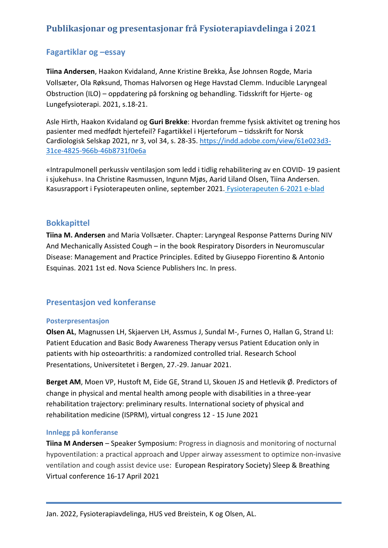## **Publikasjonar og presentasjonar frå Fysioterapiavdelinga i 2021**

### **Fagartiklar og –essay**

**Tiina Andersen**, Haakon Kvidaland, Anne Kristine Brekka, Åse Johnsen Rogde, Maria Vollsæter, Ola Røksund, Thomas Halvorsen og Hege Havstad Clemm. Inducible Laryngeal Obstruction (ILO) – oppdatering på forskning og behandling. Tidsskrift for Hjerte- og Lungefysioterapi. 2021, s.18-21.

Asle Hirth, Haakon Kvidaland og **Guri Brekke**: Hvordan fremme fysisk aktivitet og trening hos pasienter med medfødt hjertefeil? Fagartikkel i Hjerteforum – tidsskrift for Norsk Cardiologisk Selskap 2021, nr 3, vol 34, s. 28-35. [https://indd.adobe.com/view/61e023d3-](https://indd.adobe.com/view/61e023d3-31ce-4825-966b-46b8731f0e6a) [31ce-4825-966b-46b8731f0e6a](https://indd.adobe.com/view/61e023d3-31ce-4825-966b-46b8731f0e6a)

«Intrapulmonell perkussiv ventilasjon som ledd i tidlig rehabilitering av en COVID- 19 pasient i sjukehus». Ina Christine Rasmussen, Ingunn Mjøs, Aarid Liland Olsen, Tiina Andersen. Kasusrapport i Fysioterapeuten online, september 2021. [Fysioterapeuten 6-2021 e-blad](https://fysioterapeuten-eblad.no/dm/fysioterapeuten-6-21/94/)

#### **Bokkapittel**

**Tiina M. Andersen** and Maria Vollsæter. Chapter: Laryngeal Response Patterns During NIV And Mechanically Assisted Cough – in the book Respiratory Disorders in Neuromuscular Disease: Management and Practice Principles. Edited by Giuseppo Fiorentino & Antonio Esquinas. 2021 1st ed. Nova Science Publishers Inc. In press.

### **Presentasjon ved konferanse**

#### **Posterpresentasjon**

**Olsen AL**, Magnussen LH, Skjaerven LH, Assmus J, Sundal M-, Furnes O, Hallan G, Strand LI: Patient Education and Basic Body Awareness Therapy versus Patient Education only in patients with hip osteoarthritis: a randomized controlled trial. Research School Presentations, Universitetet i Bergen, 27.-29. Januar 2021.

**Berget AM**, Moen VP, Hustoft M, Eide GE, Strand LI, Skouen JS and Hetlevik Ø. Predictors of change in physical and mental health among people with disabilities in a three-year rehabilitation trajectory: preliminary results. International society of physical and rehabilitation medicine (ISPRM), virtual congress 12 - 15 June 2021

#### **Innlegg på konferanse**

**Tiina M Andersen** – Speaker Symposium: Progress in diagnosis and monitoring of nocturnal hypoventilation: a practical approach and Upper airway assessment to optimize non-invasive ventilation and cough assist device use: European Respiratory Society) Sleep & Breathing Virtual conference 16-17 April 2021